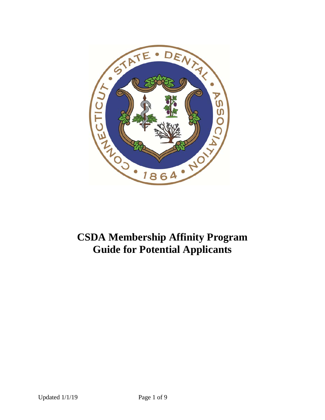

# **CSDA Membership Affinity Program Guide for Potential Applicants**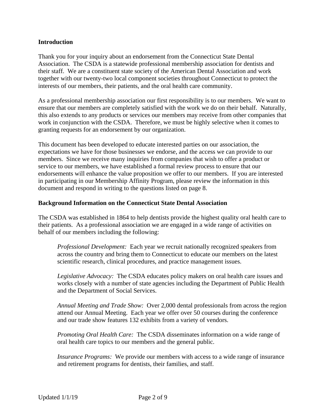#### **Introduction**

Thank you for your inquiry about an endorsement from the Connecticut State Dental Association. The CSDA is a statewide professional membership association for dentists and their staff. We are a constituent state society of the American Dental Association and work together with our twenty-two local component societies throughout Connecticut to protect the interests of our members, their patients, and the oral health care community.

As a professional membership association our first responsibility is to our members. We want to ensure that our members are completely satisfied with the work we do on their behalf. Naturally, this also extends to any products or services our members may receive from other companies that work in conjunction with the CSDA. Therefore, we must be highly selective when it comes to granting requests for an endorsement by our organization.

This document has been developed to educate interested parties on our association, the expectations we have for those businesses we endorse, and the access we can provide to our members. Since we receive many inquiries from companies that wish to offer a product or service to our members, we have established a formal review process to ensure that our endorsements will enhance the value proposition we offer to our members. If you are interested in participating in our Membership Affinity Program, please review the information in this document and respond in writing to the questions listed on page 8.

#### **Background Information on the Connecticut State Dental Association**

The CSDA was established in 1864 to help dentists provide the highest quality oral health care to their patients. As a professional association we are engaged in a wide range of activities on behalf of our members including the following:

*Professional Development:* Each year we recruit nationally recognized speakers from across the country and bring them to Connecticut to educate our members on the latest scientific research, clinical procedures, and practice management issues.

*Legislative Advocacy:* The CSDA educates policy makers on oral health care issues and works closely with a number of state agencies including the Department of Public Health and the Department of Social Services.

*Annual Meeting and Trade Show:* Over 2,000 dental professionals from across the region attend our Annual Meeting. Each year we offer over 50 courses during the conference and our trade show features 132 exhibits from a variety of vendors.

*Promoting Oral Health Care:* The CSDA disseminates information on a wide range of oral health care topics to our members and the general public.

*Insurance Programs:* We provide our members with access to a wide range of insurance and retirement programs for dentists, their families, and staff.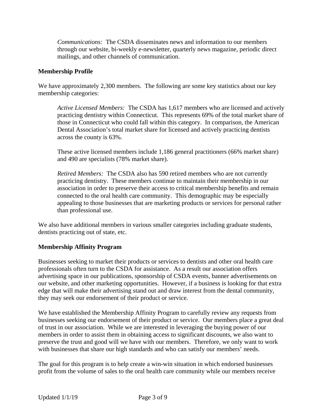*Communications:* The CSDA disseminates news and information to our members through our website, bi-weekly e-newsletter, quarterly news magazine, periodic direct mailings, and other channels of communication.

# **Membership Profile**

We have approximately 2,300 members. The following are some key statistics about our key membership categories:

*Active Licensed Members:* The CSDA has 1,617 members who are licensed and actively practicing dentistry within Connecticut. This represents 69% of the total market share of those in Connecticut who could fall within this category. In comparison, the American Dental Association's total market share for licensed and actively practicing dentists across the county is 63%.

These active licensed members include 1,186 general practitioners (66% market share) and 490 are specialists (78% market share).

*Retired Members:* The CSDA also has 590 retired members who are not currently practicing dentistry. These members continue to maintain their membership in our association in order to preserve their access to critical membership benefits and remain connected to the oral health care community. This demographic may be especially appealing to those businesses that are marketing products or services for personal rather than professional use.

We also have additional members in various smaller categories including graduate students, dentists practicing out of state, etc.

# **Membership Affinity Program**

Businesses seeking to market their products or services to dentists and other oral health care professionals often turn to the CSDA for assistance. As a result our association offers advertising space in our publications, sponsorship of CSDA events, banner advertisements on our website, and other marketing opportunities. However, if a business is looking for that extra edge that will make their advertising stand out and draw interest from the dental community, they may seek our endorsement of their product or service.

We have established the Membership Affinity Program to carefully review any requests from businesses seeking our endorsement of their product or service. Our members place a great deal of trust in our association. While we are interested in leveraging the buying power of our members in order to assist them in obtaining access to significant discounts, we also want to preserve the trust and good will we have with our members. Therefore, we only want to work with businesses that share our high standards and who can satisfy our members' needs.

The goal for this program is to help create a win-win situation in which endorsed businesses profit from the volume of sales to the oral health care community while our members receive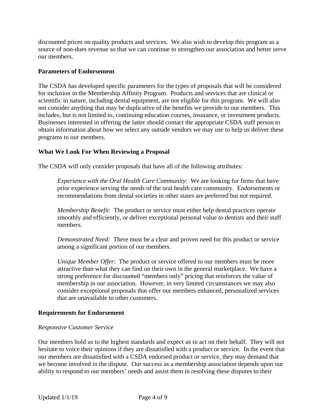discounted prices on quality products and services. We also wish to develop this program as a source of non-dues revenue so that we can continue to strengthen our association and better serve our members.

#### **Parameters of Endorsement**

The CSDA has developed specific parameters for the types of proposals that will be considered for inclusion in the Membership Affinity Program. Products and services that are clinical or scientific in nature, including dental equipment, are not eligible for this program. We will also not consider anything that may be duplicative of the benefits we provide to our members. This includes, but is not limited to, continuing education courses, insurance, or investment products. Businesses interested in offering the latter should contact the appropriate CSDA staff person to obtain information about how we select any outside vendors we may use to help us deliver these programs to our members.

# **What We Look For When Reviewing a Proposal**

The CSDA will only consider proposals that have all of the following attributes:

*Experience with the Oral Health Care Community*: We are looking for firms that have prior experience serving the needs of the oral health care community. Endorsements or recommendations from dental societies in other states are preferred but not required.

*Membership Benefit*: The product or service must either help dental practices operate smoothly and efficiently, or deliver exceptional personal value to dentists and their staff members.

*Demonstrated Need:* There must be a clear and proven need for this product or service among a significant portion of our members.

*Unique Member Offer*: The product or service offered to our members must be more attractive than what they can find on their own in the general marketplace. We have a strong preference for discounted "members only" pricing that reinforces the value of membership in our association. However, in very limited circumstances we may also consider exceptional proposals that offer our members enhanced, personalized services that are unavailable to other customers.

#### **Requirements for Endorsement**

#### *Responsive Customer Service*

Our members hold us to the highest standards and expect us to act on their behalf. They will not hesitate to voice their opinions if they are dissatisfied with a product or service. In the event that our members are dissatisfied with a CSDA endorsed product or service, they may demand that we become involved in the dispute. Our success as a membership association depends upon our ability to respond to our members' needs and assist them in resolving these disputes to their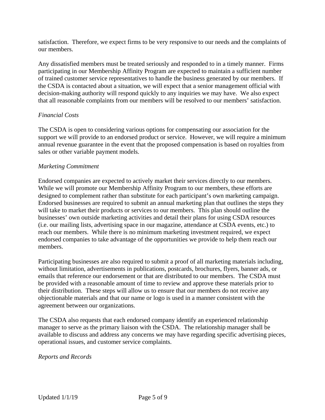satisfaction. Therefore, we expect firms to be very responsive to our needs and the complaints of our members.

Any dissatisfied members must be treated seriously and responded to in a timely manner. Firms participating in our Membership Affinity Program are expected to maintain a sufficient number of trained customer service representatives to handle the business generated by our members. If the CSDA is contacted about a situation, we will expect that a senior management official with decision-making authority will respond quickly to any inquiries we may have. We also expect that all reasonable complaints from our members will be resolved to our members' satisfaction.

# *Financial Costs*

The CSDA is open to considering various options for compensating our association for the support we will provide to an endorsed product or service. However, we will require a minimum annual revenue guarantee in the event that the proposed compensation is based on royalties from sales or other variable payment models.

#### *Marketing Commitment*

Endorsed companies are expected to actively market their services directly to our members. While we will promote our Membership Affinity Program to our members, these efforts are designed to complement rather than substitute for each participant's own marketing campaign. Endorsed businesses are required to submit an annual marketing plan that outlines the steps they will take to market their products or services to our members. This plan should outline the businesses' own outside marketing activities and detail their plans for using CSDA resources (i.e. our mailing lists, advertising space in our magazine, attendance at CSDA events, etc.) to reach our members. While there is no minimum marketing investment required, we expect endorsed companies to take advantage of the opportunities we provide to help them reach our members.

Participating businesses are also required to submit a proof of all marketing materials including, without limitation, advertisements in publications, postcards, brochures, flyers, banner ads, or emails that reference our endorsement or that are distributed to our members. The CSDA must be provided with a reasonable amount of time to review and approve these materials prior to their distribution. These steps will allow us to ensure that our members do not receive any objectionable materials and that our name or logo is used in a manner consistent with the agreement between our organizations.

The CSDA also requests that each endorsed company identify an experienced relationship manager to serve as the primary liaison with the CSDA. The relationship manager shall be available to discuss and address any concerns we may have regarding specific advertising pieces, operational issues, and customer service complaints.

#### *Reports and Records*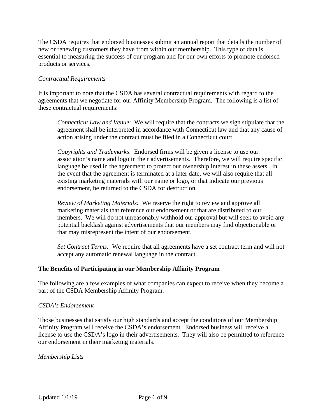The CSDA requires that endorsed businesses submit an annual report that details the number of new or renewing customers they have from within our membership. This type of data is essential to measuring the success of our program and for our own efforts to promote endorsed products or services.

# *Contractual Requirements*

It is important to note that the CSDA has several contractual requirements with regard to the agreements that we negotiate for our Affinity Membership Program. The following is a list of these contractual requirements:

*Connecticut Law and Venue*: We will require that the contracts we sign stipulate that the agreement shall be interpreted in accordance with Connecticut law and that any cause of action arising under the contract must be filed in a Connecticut court.

*Copyrights and Trademarks*: Endorsed firms will be given a license to use our association's name and logo in their advertisements. Therefore, we will require specific language be used in the agreement to protect our ownership interest in these assets. In the event that the agreement is terminated at a later date, we will also require that all existing marketing materials with our name or logo, or that indicate our previous endorsement, be returned to the CSDA for destruction.

*Review of Marketing Materials:* We reserve the right to review and approve all marketing materials that reference our endorsement or that are distributed to our members. We will do not unreasonably withhold our approval but will seek to avoid any potential backlash against advertisements that our members may find objectionable or that may misrepresent the intent of our endorsement.

*Set Contract Terms:* We require that all agreements have a set contract term and will not accept any automatic renewal language in the contract.

#### **The Benefits of Participating in our Membership Affinity Program**

The following are a few examples of what companies can expect to receive when they become a part of the CSDA Membership Affinity Program.

#### *CSDA's Endorsement*

Those businesses that satisfy our high standards and accept the conditions of our Membership Affinity Program will receive the CSDA's endorsement. Endorsed business will receive a license to use the CSDA's logo in their advertisements. They will also be permitted to reference our endorsement in their marketing materials.

#### *Membership Lists*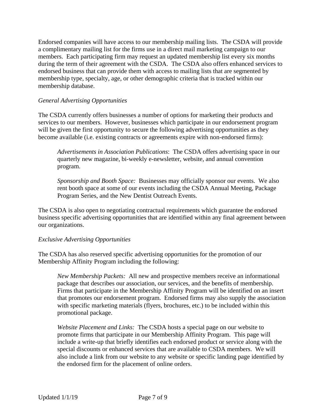Endorsed companies will have access to our membership mailing lists. The CSDA will provide a complimentary mailing list for the firms use in a direct mail marketing campaign to our members. Each participating firm may request an updated membership list every six months during the term of their agreement with the CSDA. The CSDA also offers enhanced services to endorsed business that can provide them with access to mailing lists that are segmented by membership type, specialty, age, or other demographic criteria that is tracked within our membership database.

# *General Advertising Opportunities*

The CSDA currently offers businesses a number of options for marketing their products and services to our members. However, businesses which participate in our endorsement program will be given the first opportunity to secure the following advertising opportunities as they become available (i.e. existing contracts or agreements expire with non-endorsed firms):

*Advertisements in Association Publications*: The CSDA offers advertising space in our quarterly new magazine, bi-weekly e-newsletter, website, and annual convention program.

*Sponsorship and Booth Space:* Businesses may officially sponsor our events. We also rent booth space at some of our events including the CSDA Annual Meeting, Package Program Series, and the New Dentist Outreach Events.

The CSDA is also open to negotiating contractual requirements which guarantee the endorsed business specific advertising opportunities that are identified within any final agreement between our organizations.

#### *Exclusive Advertising Opportunities*

The CSDA has also reserved specific advertising opportunities for the promotion of our Membership Affinity Program including the following:

*New Membership Packets:* All new and prospective members receive an informational package that describes our association, our services, and the benefits of membership. Firms that participate in the Membership Affinity Program will be identified on an insert that promotes our endorsement program. Endorsed firms may also supply the association with specific marketing materials (flyers, brochures, etc.) to be included within this promotional package.

*Website Placement and Links:* The CSDA hosts a special page on our website to promote firms that participate in our Membership Affinity Program. This page will include a write-up that briefly identifies each endorsed product or service along with the special discounts or enhanced services that are available to CSDA members. We will also include a link from our website to any website or specific landing page identified by the endorsed firm for the placement of online orders.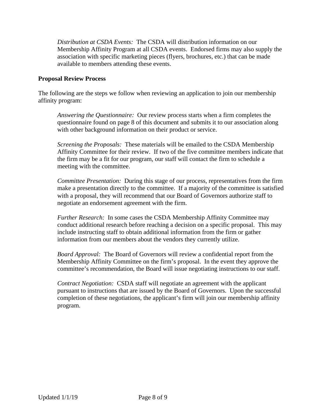*Distribution at CSDA Events:* The CSDA will distribution information on our Membership Affinity Program at all CSDA events. Endorsed firms may also supply the association with specific marketing pieces (flyers, brochures, etc.) that can be made available to members attending these events.

#### **Proposal Review Process**

The following are the steps we follow when reviewing an application to join our membership affinity program:

*Answering the Questionnaire:* Our review process starts when a firm completes the questionnaire found on page 8 of this document and submits it to our association along with other background information on their product or service.

*Screening the Proposals:* These materials will be emailed to the CSDA Membership Affinity Committee for their review. If two of the five committee members indicate that the firm may be a fit for our program, our staff will contact the firm to schedule a meeting with the committee.

*Committee Presentation:* During this stage of our process, representatives from the firm make a presentation directly to the committee. If a majority of the committee is satisfied with a proposal, they will recommend that our Board of Governors authorize staff to negotiate an endorsement agreement with the firm.

*Further Research:* In some cases the CSDA Membership Affinity Committee may conduct additional research before reaching a decision on a specific proposal. This may include instructing staff to obtain additional information from the firm or gather information from our members about the vendors they currently utilize.

*Board Approval:* The Board of Governors will review a confidential report from the Membership Affinity Committee on the firm's proposal. In the event they approve the committee's recommendation, the Board will issue negotiating instructions to our staff.

*Contract Negotiation:* CSDA staff will negotiate an agreement with the applicant pursuant to instructions that are issued by the Board of Governors. Upon the successful completion of these negotiations, the applicant's firm will join our membership affinity program.